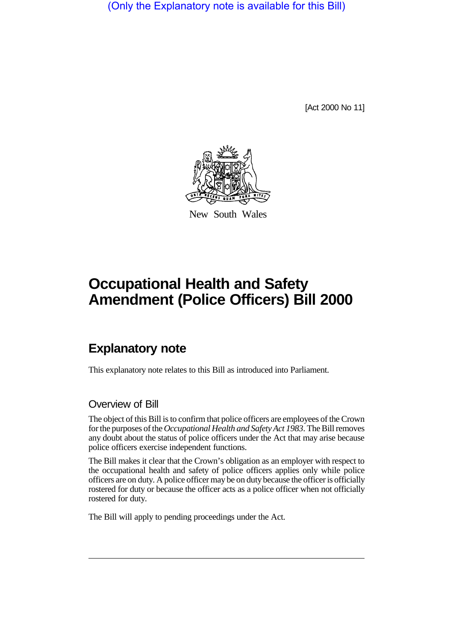(Only the Explanatory note is available for this Bill)

[Act 2000 No 11]



New South Wales

## **Occupational Health and Safety Amendment (Police Officers) Bill 2000**

## **Explanatory note**

This explanatory note relates to this Bill as introduced into Parliament.

## Overview of Bill

The object of this Bill is to confirm that police officers are employees of the Crown for the purposes of the *Occupational Health and Safety Act 1983*. The Bill removes any doubt about the status of police officers under the Act that may arise because police officers exercise independent functions.

The Bill makes it clear that the Crown's obligation as an employer with respect to the occupational health and safety of police officers applies only while police officers are on duty. A police officer may be on duty because the officer is officially rostered for duty or because the officer acts as a police officer when not officially rostered for duty.

The Bill will apply to pending proceedings under the Act.